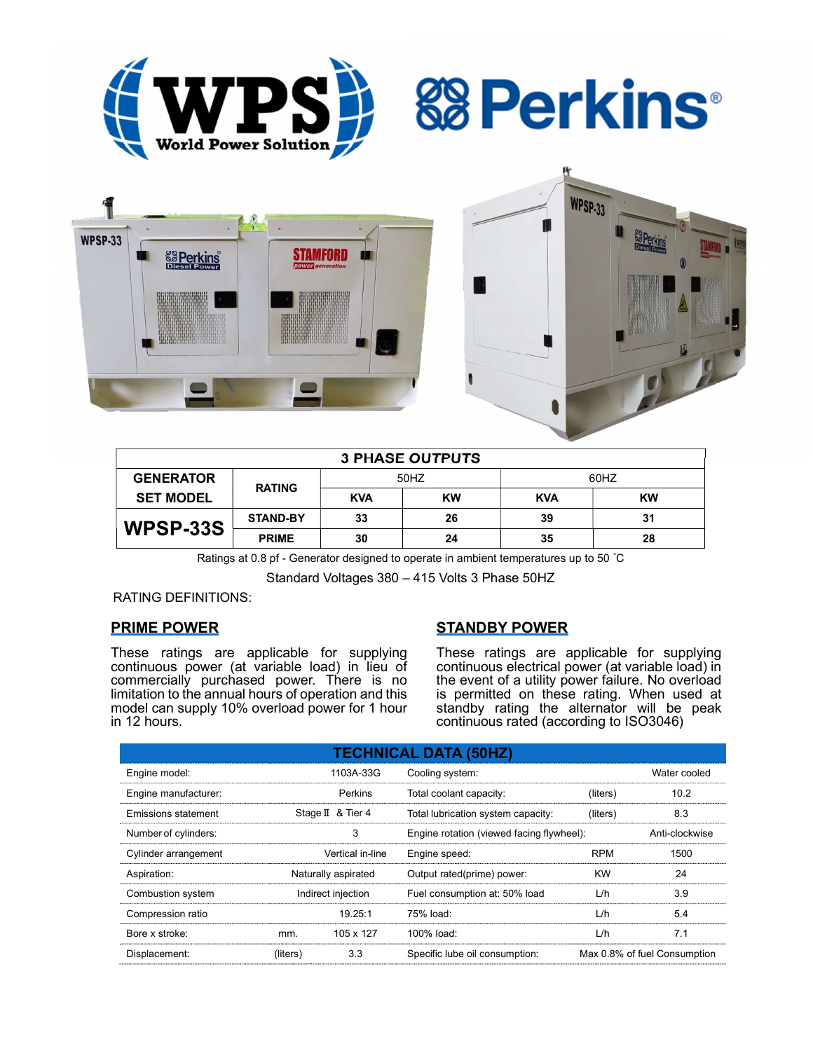







| <b>3 PHASE OUTPUTS</b> |                 |            |           |            |           |  |  |  |
|------------------------|-----------------|------------|-----------|------------|-----------|--|--|--|
| <b>GENERATOR</b>       | <b>RATING</b>   | 50HZ       |           | 60HZ       |           |  |  |  |
| <b>SET MODEL</b>       |                 | <b>KVA</b> | <b>KW</b> | <b>KVA</b> | <b>KW</b> |  |  |  |
| WPSP-33S               | <b>STAND-BY</b> | 33         | 26        | 39         | 31        |  |  |  |
|                        | <b>PRIME</b>    | 30         | 24        | 35         | 28        |  |  |  |

Ratings at 0.8 pf - Generator designed to operate in ambient temperatures up to 50 °C

Standard Voltages 380 – 415 Volts 3 Phase 50HZ

# RATING DEFINITIONS:

# PRIME POWER

These ratings are applicable for supplying continuous power (at variable load) in lieu of commercially purchased power. There is no limitation to the annual hours of operation and this model can supply 10% overload power for 1 hour in 12 hours.

# STANDBY POWER

These ratings are applicable for supplying continuous electrical power (at variable load) in the event of a utility power failure. No overload is permitted on these rating. When used at standby rating the alternator will be peak continuous rated (according to ISO3046)

| <b>TECHNICAL DATA (50HZ)</b> |                     |                  |                                           |            |                              |  |  |  |  |
|------------------------------|---------------------|------------------|-------------------------------------------|------------|------------------------------|--|--|--|--|
| Engine model:                |                     | 1103A-33G        | Cooling system:                           |            | Water cooled                 |  |  |  |  |
| Engine manufacturer:         |                     | <b>Perkins</b>   | Total coolant capacity:                   | (liters)   | 10.2                         |  |  |  |  |
| Emissions statement          | Stage II & Tier 4   |                  | Total lubrication system capacity:        | (liters)   | 8.3                          |  |  |  |  |
| Number of cylinders:         |                     | 3                | Engine rotation (viewed facing flywheel): |            | Anti-clockwise               |  |  |  |  |
| Cylinder arrangement         |                     | Vertical in-line | Engine speed:                             | <b>RPM</b> | 1500                         |  |  |  |  |
| Aspiration:                  | Naturally aspirated |                  | Output rated(prime) power:                | <b>KW</b>  | 24                           |  |  |  |  |
| Combustion system            | Indirect injection  |                  | Fuel consumption at: 50% load             | L/h        | 3.9                          |  |  |  |  |
| Compression ratio            |                     | 19.25:1          | 75% load:                                 | L/h        | 5.4                          |  |  |  |  |
| Bore x stroke:               | mm.                 | 105 x 127        | 100% load:                                | L/h        | 7.1                          |  |  |  |  |
| Displacement:                | (liters)            | 3.3              | Specific lube oil consumption:            |            | Max 0.8% of fuel Consumption |  |  |  |  |